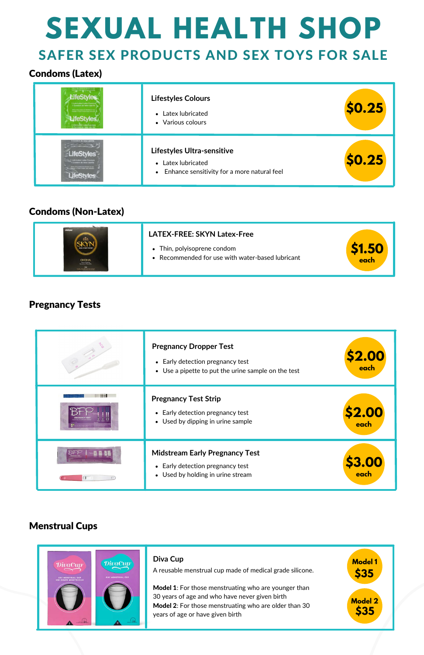# **SEXUAL HEALTH SHOP**

### SAFER SEX PRODUCTS AND SEX TOYS FOR SALE

| ifeStyles<br>1 Lutericated Latex Condo<br>1 Condom de tatés tubrit<br>Belton along passes not directive for any<br>Complex screens diseases paged addressing<br><b>LifeStvies</b><br>1 Libricated Lates Concom | <b>Lifestyles Colours</b><br>• Latex lubricated<br>• Various colours                              | \$0.25        |
|----------------------------------------------------------------------------------------------------------------------------------------------------------------------------------------------------------------|---------------------------------------------------------------------------------------------------|---------------|
| 1 Lubricated Latex Condom<br>nn orthy givern me Wiertland für une.<br>Aller in Ander Germäns west utdivision.                                                                                                  | Lifestyles Ultra-sensitive<br>• Latex lubricated<br>• Enhance sensitivity for a more natural feel | <b>\$0.25</b> |

|                                          | <b>LATEX-FREE: SKYN Latex-Free</b>                                            |      |
|------------------------------------------|-------------------------------------------------------------------------------|------|
| chass tailor rest collectivity compliant | • Thin, polyisoprene condom<br>Recommended for use with water-based lubricant | each |

#### Condoms (Latex)

#### Condoms (Non-Latex)

#### Pregnancy Tests

Model 1: For those menstruating who are younger than 30 years of age and who have never given birth Model 2: For those menstruating who are older than 30 years of age or have given birth

| <b>Pregnancy Dropper Test</b><br>Early detection pregnancy test<br>$\bullet$<br>Use a pipette to put the urine sample on the test<br>$\bullet$ | <b>\$2.00</b><br>each |
|------------------------------------------------------------------------------------------------------------------------------------------------|-----------------------|
| <b>Pregnancy Test Strip</b><br>Early detection pregnancy test<br>$\bullet$<br>• Used by dipping in urine sample                                | <b>S2.00</b><br>each  |
| <b>Midstream Early Pregnancy Test</b><br>Early detection pregnancy test<br>$\bullet$<br>Used by holding in urine stream<br>$\bullet$           | \$3.00<br>each        |

#### Menstrual Cups



#### **Diva Cup**

A reusable menstrual cup made of medical grade silicone.

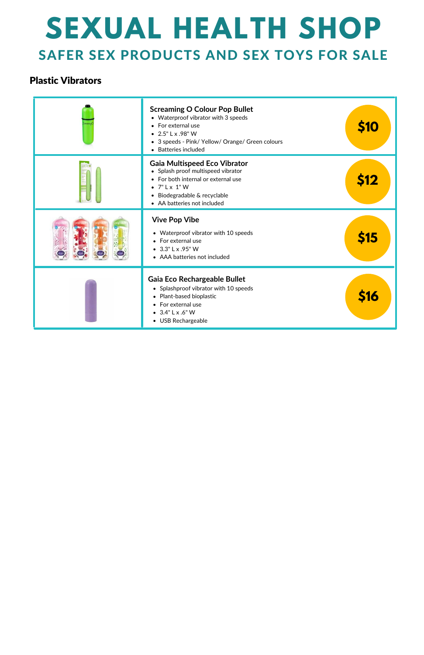## **SEXUAL HEALTH SHOP** SAFER SEX PRODUCTS AND SEX TOYS FOR SALE

#### Plastic Vibrators

| <b>Screaming O Colour Pop Bullet</b><br>• Waterproof vibrator with 3 speeds<br>• For external use<br>• $2.5"$ L x .98" W<br>• 3 speeds - Pink/ Yellow/ Orange/ Green colours<br>Batteries included     | \$10        |
|--------------------------------------------------------------------------------------------------------------------------------------------------------------------------------------------------------|-------------|
| <b>Gaia Multispeed Eco Vibrator</b><br>• Splash proof multispeed vibrator<br>• For both internal or external use<br>$\bullet$ 7" L x 1" W<br>Biodegradable & recyclable<br>• AA batteries not included | <b>\$12</b> |
| <b>Vive Pop Vibe</b><br>• Waterproof vibrator with 10 speeds<br>• For external use<br>$\bullet$ 3.3" L x .95" W<br>• AAA batteries not included                                                        | \$15        |
| Gaia Eco Rechargeable Bullet<br>• Splashproof vibrator with 10 speeds<br>• Plant-based bioplastic<br>• For external use<br>$\bullet$ 3.4" L x .6" W<br>• USB Rechargeable                              | <b>S16</b>  |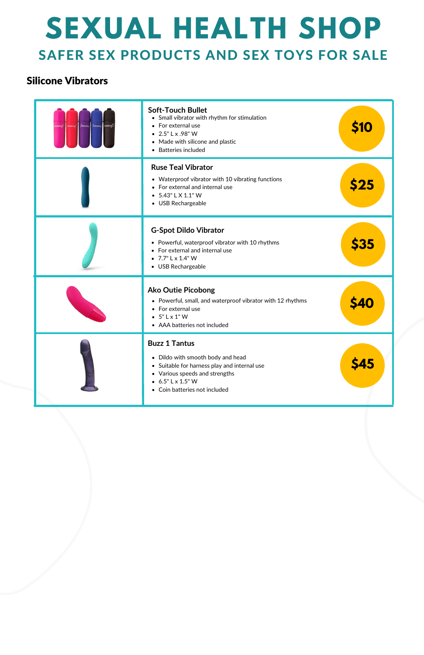## **SEXUAL HEALTH SHOP** SAFER SEX PRODUCTS AND SEX TOYS FOR SALE

#### Silicone Vibrators

| SCYELLAIR<br>Several | <b>Soft-Touch Bullet</b><br>• Small vibrator with rhythm for stimulation<br>• For external use<br>• $2.5"$ L x .98" W<br>• Made with silicone and plastic<br>• Batteries included                 | <b>S10</b>  |
|----------------------|---------------------------------------------------------------------------------------------------------------------------------------------------------------------------------------------------|-------------|
|                      | <b>Ruse Teal Vibrator</b><br>• Waterproof vibrator with 10 vibrating functions<br>• For external and internal use<br>$\bullet$ 5.43" L X 1.1" W<br>• USB Rechargeable                             | 525         |
|                      | <b>G-Spot Dildo Vibrator</b><br>• Powerful, waterproof vibrator with 10 rhythms<br>• For external and internal use<br>• $7.7$ " L x 1.4" W<br>• USB Rechargeable                                  | <b>\$35</b> |
|                      | <b>Ako Outie Picobong</b><br>• Powerful, small, and waterproof vibrator with 12 rhythms<br>• For external use<br>$\bullet$ 5" L x 1" W<br>• AAA batteries not included                            |             |
|                      | <b>Buzz 1 Tantus</b><br>• Dildo with smooth body and head<br>• Suitable for harness play and internal use<br>• Various speeds and strengths<br>$6.5"$ L x 1.5" W<br>• Coin batteries not included | <b>Ş45</b>  |

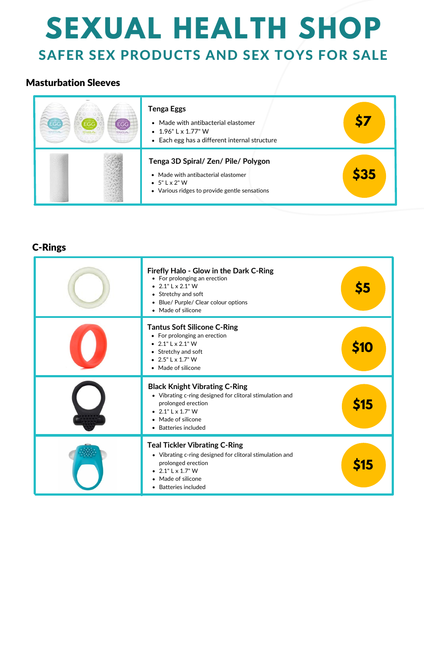## **SEXUAL HEALTH SHOP** SAFER SEX PRODUCTS AND SEX TOYS FOR SALE

#### C-Rings

| FCG<br>ENG A | <b>Tenga Eggs</b><br>• Made with antibacterial elastomer<br>$\bullet$ 1.96" L x 1.77" W<br>• Each egg has a different internal structure             |     |
|--------------|------------------------------------------------------------------------------------------------------------------------------------------------------|-----|
|              | Tenga 3D Spiral/ Zen/ Pile/ Polygon<br>• Made with antibacterial elastomer<br>$\bullet$ 5" L x 2" W<br>• Various ridges to provide gentle sensations | S35 |

#### Masturbation Sleeves

| Firefly Halo - Glow in the Dark C-Ring<br>• For prolonging an erection<br>• $2.1$ " L x $2.1$ " W<br>• Stretchy and soft<br>Blue/ Purple/ Clear colour options<br>$\bullet$<br>• Made of silicone   | \$5  |
|-----------------------------------------------------------------------------------------------------------------------------------------------------------------------------------------------------|------|
| <b>Tantus Soft Silicone C-Ring</b><br>• For prolonging an erection<br>• $2.1$ " L x $2.1$ " W<br>• Stretchy and soft<br>• $2.5$ " L $\times$ 1.7" W<br>• Made of silicone                           | \$10 |
| <b>Black Knight Vibrating C-Ring</b><br>• Vibrating c-ring designed for clitoral stimulation and<br>prolonged erection<br>• $2.1$ " L $\times$ 1.7" W<br>• Made of silicone<br>• Batteries included | \$15 |
| <b>Teal Tickler Vibrating C-Ring</b><br>• Vibrating c-ring designed for clitoral stimulation and<br>prolonged erection<br>$2.1"$ L x 1.7" W<br>• Made of silicone                                   | <15  |



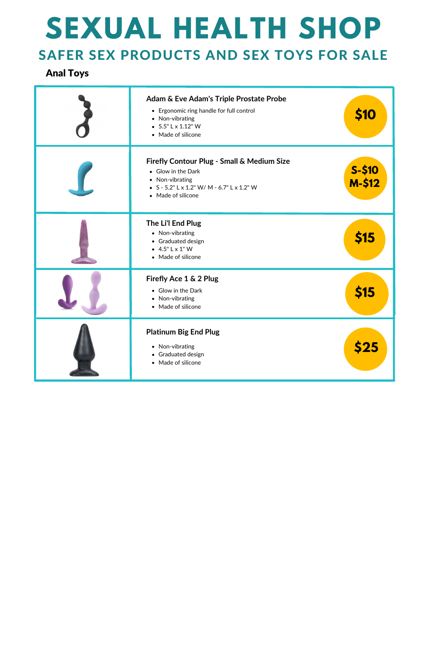# **SEXUAL HEALTH SHOP**

### SAFER SEX PRODUCTS AND SEX TOYS FOR SALE

#### Anal Toys

| Adam & Eve Adam's Triple Prostate Probe<br>• Ergonomic ring handle for full control<br>• Non-vibrating<br>$\bullet$ 5.5" L x 1.12" W<br>• Made of silicone | \$10                |
|------------------------------------------------------------------------------------------------------------------------------------------------------------|---------------------|
| Firefly Contour Plug - Small & Medium Size<br>• Glow in the Dark<br>• Non-vibrating<br>• $S - 5.2$ " L x 1.2" W/ M - 6.7" L x 1.2" W<br>• Made of silicone | $S-$ \$10<br>M-\$12 |
| The Li'l End Plug<br>• Non-vibrating<br>• Graduated design<br>$-4.5"$ L x 1" W<br>• Made of silicone                                                       | \$15                |
| Firefly Ace 1 & 2 Plug<br>• Glow in the Dark<br>• Non-vibrating<br>Made of silicone                                                                        | <b>\$15</b>         |
| <b>Platinum Big End Plug</b><br>• Non-vibrating<br>Graduated design<br>$\bullet$<br>• Made of silicone                                                     | \$25                |